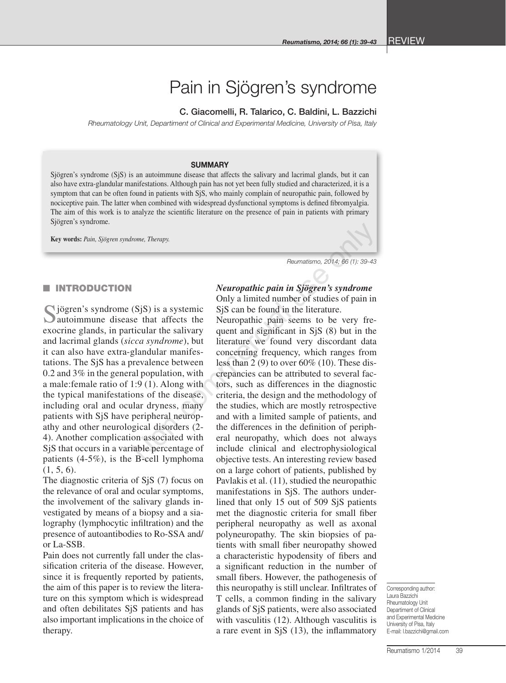# Pain in Sjögren's syndrome

# C. Giacomelli, R. Talarico, C. Baldini, L. Bazzichi

*Rheumatology Unit, Departiment of Clinical and Experimental Medicine, University of Pisa, Italy*

#### **SUMMARY**

Sjögren's syndrome (SjS) is an autoimmune disease that affects the salivary and lacrimal glands, but it can also have extra-glandular manifestations. Although pain has not yet been fully studied and characterized, it is a symptom that can be often found in patients with SiS, who mainly complain of neuropathic pain, followed by nociceptive pain. The latter when combined with widespread dysfunctional symptoms is defined fibromyalgia. The aim of this work is to analyze the scientific literature on the presence of pain in patients with primary Sjögren's syndrome.

**Key words:** *Pain, Sjögren syndrome, Therapy.*

#### **NUMBER OF STREET INTRODUCTION**

Sjögren's syndrome (SjS) is a systemic<br>autoimmune disease that affects the exocrine glands, in particular the salivary and lacrimal glands (*sicca syndrome*), but it can also have extra-glandular manifestations. The SjS has a prevalence between 0.2 and 3% in the general population, with a male:female ratio of 1:9 (1). Along with the typical manifestations of the disease, including oral and ocular dryness, many patients with SjS have peripheral neuropathy and other neurological disorders (2- 4). Another complication associated with SjS that occurs in a variable percentage of patients (4-5%), is the B-cell lymphoma  $(1, 5, 6).$ 

The diagnostic criteria of SjS (7) focus on the relevance of oral and ocular symptoms, the involvement of the salivary glands investigated by means of a biopsy and a sialography (lymphocytic infiltration) and the presence of autoantibodies to Ro-SSA and/ or La-SSB.

Pain does not currently fall under the classification criteria of the disease. However, since it is frequently reported by patients, the aim of this paper is to review the literature on this symptom which is widespread and often debilitates SjS patients and has also important implications in the choice of therapy.

*Reumatismo, 2014; 66 (1): 39-43*

*Neuropathic pain in Sjögren's syndrome* Only a limited number of studies of pain in SjS can be found in the literature.

Neuropathic pain seems to be very frequent and significant in SjS (8) but in the literature we found very discordant data concerning frequency, which ranges from less than  $2(9)$  to over  $60\%$  (10). These discrepancies can be attributed to several factors, such as differences in the diagnostic criteria, the design and the methodology of the studies, which are mostly retrospective and with a limited sample of patients, and the differences in the definition of peripheral neuropathy, which does not always include clinical and electrophysiological objective tests. An interesting review based on a large cohort of patients, published by Pavlakis et al. (11), studied the neuropathic manifestations in SjS. The authors underlined that only 15 out of 509 SjS patients met the diagnostic criteria for small fiber peripheral neuropathy as well as axonal polyneuropathy. The skin biopsies of patients with small fiber neuropathy showed a characteristic hypodensity of fibers and a significant reduction in the number of small fibers. However, the pathogenesis of this neuropathy is still unclear. Infiltrates of T cells, a common finding in the salivary glands of SjS patients, were also associated with vasculitis (12). Although vasculitis is a rare event in SjS (13), the inflammatory Frome, Therapy.<br> **Example 19** Following Theorem Coloring the Become Contact Become Consideration of Signal US(S) is a systemic City a limited number of studies of pain in Signal use that affects the Neuropathic pain seems

Corresponding author: Laura Bazzichi Rheumatology Unit Departiment of Clinical and Experimental Medicine University of Pisa, Italy E-mail: l.bazzichi@gmail.com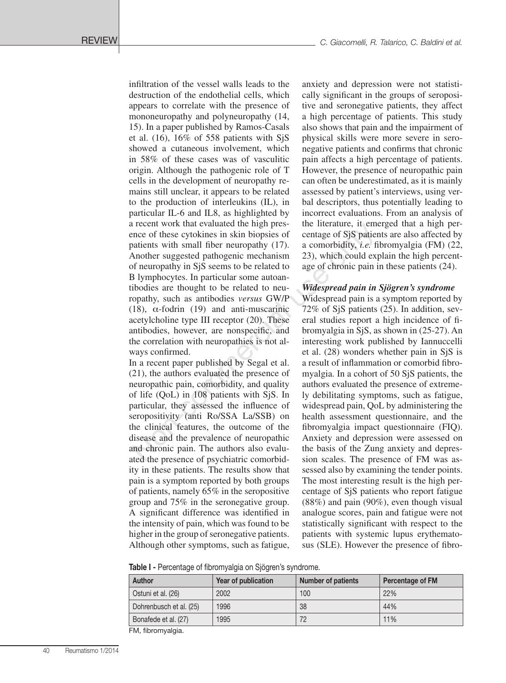infiltration of the vessel walls leads to the destruction of the endothelial cells, which appears to correlate with the presence of mononeuropathy and polyneuropathy (14, 15). In a paper published by Ramos-Casals et al. (16), 16% of 558 patients with SjS showed a cutaneous involvement, which in 58% of these cases was of vasculitic origin. Although the pathogenic role of T cells in the development of neuropathy remains still unclear, it appears to be related to the production of interleukins (IL), in particular IL-6 and IL8, as highlighted by a recent work that evaluated the high presence of these cytokines in skin biopsies of patients with small fiber neuropathy (17). Another suggested pathogenic mechanism of neuropathy in SjS seems to be related to B lymphocytes. In particular some autoantibodies are thought to be related to neuropathy, such as antibodies *versus* GW/P (18),  $\alpha$ -fodrin (19) and anti-muscarinic acetylcholine type III receptor (20). These antibodies, however, are nonspecific, and the correlation with neuropathies is not always confirmed. Frecent work that evaluated the righ pres-<br>
recent of these cytokines in skin biopises of energative, it entimed<br>
another suggested pathogenic mechanism 23), which could expandents with small fiber neuropathy (17). a como

In a recent paper published by Segal et al. (21), the authors evaluated the presence of neuropathic pain, comorbidity, and quality of life (QoL) in 108 patients with SjS. In particular, they assessed the influence of seropositivity (anti Ro/SSA La/SSB) on the clinical features, the outcome of the disease and the prevalence of neuropathic and chronic pain. The authors also evaluated the presence of psychiatric comorbidity in these patients. The results show that pain is a symptom reported by both groups of patients, namely 65% in the seropositive group and 75% in the seronegative group. A significant difference was identified in the intensity of pain, which was found to be higher in the group of seronegative patients. Although other symptoms, such as fatigue, anxiety and depression were not statistically significant in the groups of seropositive and seronegative patients, they affect a high percentage of patients. This study also shows that pain and the impairment of physical skills were more severe in seronegative patients and confirms that chronic pain affects a high percentage of patients. However, the presence of neuropathic pain can often be underestimated, as it is mainly assessed by patient's interviews, using verbal descriptors, thus potentially leading to incorrect evaluations. From an analysis of the literature, it emerged that a high percentage of SjS patients are also affected by a comorbidity, *i.e.* fibromyalgia (FM) (22, 23), which could explain the high percentage of chronic pain in these patients (24).

### *Widespread pain in Sjögren's syndrome*

Widespread pain is a symptom reported by 72% of SjS patients (25). In addition, several studies report a high incidence of fibromyalgia in SjS, as shown in (25-27). An interesting work published by Iannuccelli et al. (28) wonders whether pain in SjS is a result of inflammation or comorbid fibromyalgia. In a cohort of 50 SjS patients, the authors evaluated the presence of extremely debilitating symptoms, such as fatigue, widespread pain, QoL by administering the health assessment questionnaire, and the fibromyalgia impact questionnaire (FIQ). Anxiety and depression were assessed on the basis of the Zung anxiety and depression scales. The presence of FM was assessed also by examining the tender points. The most interesting result is the high percentage of SjS patients who report fatigue (88%) and pain (90%), even though visual analogue scores, pain and fatigue were not statistically significant with respect to the patients with systemic lupus erythematosus (SLE). However the presence of fibro-

Table I - Percentage of fibromvalgia on Siögren's syndrome.

| Author                                                                                                                                                                                                                                                                                           | Year of publication | <b>Number of patients</b> | <b>Percentage of FM</b> |
|--------------------------------------------------------------------------------------------------------------------------------------------------------------------------------------------------------------------------------------------------------------------------------------------------|---------------------|---------------------------|-------------------------|
| Ostuni et al. (26)                                                                                                                                                                                                                                                                               | 2002                | 100                       | 22%                     |
| Dohrenbusch et al. (25)                                                                                                                                                                                                                                                                          | 1996                | 38                        | 44%                     |
| Bonafede et al. (27)                                                                                                                                                                                                                                                                             | 1995                | 72                        | 11%                     |
| $\mathbf{r}$ and $\mathbf{r}$ and $\mathbf{r}$ and $\mathbf{r}$ and $\mathbf{r}$ and $\mathbf{r}$ and $\mathbf{r}$ and $\mathbf{r}$ and $\mathbf{r}$ and $\mathbf{r}$ and $\mathbf{r}$ and $\mathbf{r}$ and $\mathbf{r}$ and $\mathbf{r}$ and $\mathbf{r}$ and $\mathbf{r}$ and $\mathbf{r}$ and |                     |                           |                         |

FM, fibromyalgia.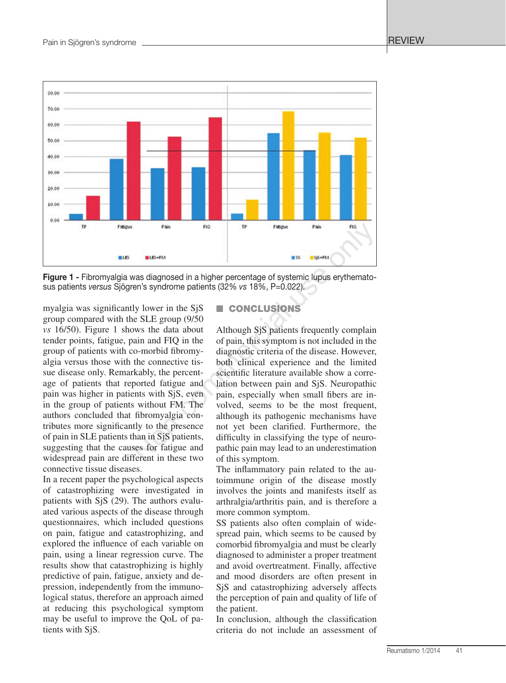

Figure 1 - Fibromyalgia was diagnosed in a higher percentage of systemic lupus erythematosus patients *versus* Sjögren's syndrome patients (32% *vs* 18%, P=0.022).

myalgia was significantly lower in the SjS group compared with the SLE group (9/50 *vs* 16/50). Figure 1 shows the data about tender points, fatigue, pain and FIQ in the group of patients with co-morbid fibromyalgia versus those with the connective tissue disease only. Remarkably, the percentage of patients that reported fatigue and pain was higher in patients with SjS, even in the group of patients without FM. The authors concluded that fibromyalgia contributes more significantly to the presence of pain in SLE patients than in SjS patients, suggesting that the causes for fatigue and widespread pain are different in these two connective tissue diseases.

In a recent paper the psychological aspects of catastrophizing were investigated in patients with SjS (29). The authors evaluated various aspects of the disease through questionnaires, which included questions on pain, fatigue and catastrophizing, and explored the influence of each variable on pain, using a linear regression curve. The results show that catastrophizing is highly predictive of pain, fatigue, anxiety and depression, independently from the immunological status, therefore an approach aimed at reducing this psychological symptom may be useful to improve the QoL of patients with SjS.

# **n** CONCLUSIONS

Although SjS patients frequently complain of pain, this symptom is not included in the diagnostic criteria of the disease. However, both clinical experience and the limited scientific literature available show a correlation between pain and SjS. Neuropathic pain, especially when small fibers are involved, seems to be the most frequent, although its pathogenic mechanisms have not yet been clarified. Furthermore, the difficulty in classifying the type of neuropathic pain may lead to an underestimation of this symptom. FREE THE TERRA THE TERRA THE USE ON THE TERRA THE AND MELTERT THE AND MUST CONCLUSIONS<br>
Non-commercial use of the SiS CONCLUSIONS<br>
SIS IS CONCLUSIONS<br>
SISE SEVENT THE SIS CONCLUSIONS<br>
SISE SEVENT THE SIS CONCLUSIONS<br>
DOME

> The inflammatory pain related to the autoimmune origin of the disease mostly involves the joints and manifests itself as arthralgia/arthritis pain, and is therefore a more common symptom.

> SS patients also often complain of widespread pain, which seems to be caused by comorbid fibromyalgia and must be clearly diagnosed to administer a proper treatment and avoid overtreatment. Finally, affective and mood disorders are often present in SjS and catastrophizing adversely affects the perception of pain and quality of life of the patient.

> In conclusion, although the classification criteria do not include an assessment of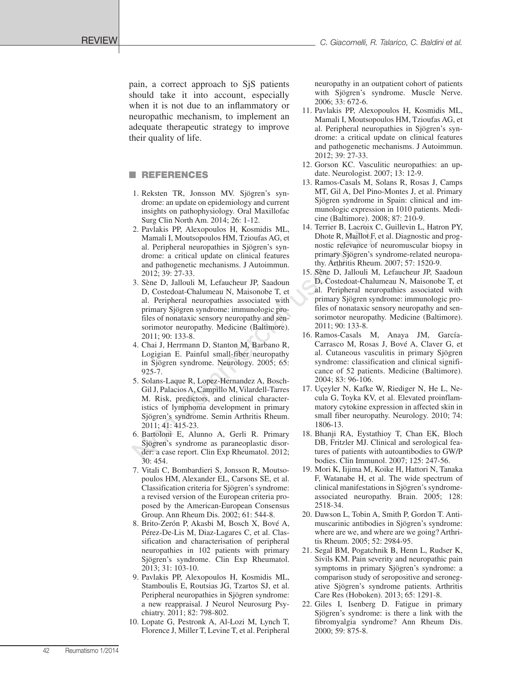**REVIEW** 

pain, a correct approach to SjS patients should take it into account, especially when it is not due to an inflammatory or neuropathic mechanism, to implement an adequate therapeutic strategy to improve their quality of life.

## **REFERENCES**

- 1. Reksten TR, Jonsson MV. Sjögren's syndrome: an update on epidemiology and current insights on pathophysiology. Oral Maxillofac Surg Clin North Am. 2014; 26: 1-12.
- 2. Pavlakis PP, Alexopoulos H, Kosmidis ML, Mamali I, Moutsopoulos HM, Tzioufas AG, et al. Peripheral neuropathies in Sjögren's syndrome: a critical update on clinical features and pathogenetic mechanisms. J Autoimmun. 2012; 39: 27-33.
- 3. Sène D, Jallouli M, Lefaucheur JP, Saadoun D, Costedoat-Chalumeau N, Maisonobe T, et al. Peripheral neuropathies associated with primary Sjögren syndrome: immunologic profiles of nonataxic sensory neuropathy and sensorimotor neuropathy. Medicine (Baltimore). 2011; 90: 133-8. 2. Pavlakis PP, Alexopoulos H, Kosmidis ML,  $14$ . Terrier B, Lacroix Commali I, Moutsopoulos HH, Tizolias AG, et Dhote R, Maillot F, Charlier and pathogenetic mechanisms. J Autoimmun. thy Arthritis Rheum (2012; 39: 27-33.
- 4. Chai J, Herrmann D, Stanton M, Barbano R, Logigian E. Painful small-fiber neuropathy in Sjögren syndrome. Neurology. 2005; 65: 925-7.
- 5. Solans-Laque R, Lopez-Hernandez A, Bosch-Gil J, Palacios A, Campillo M, Vilardell-Tarres M. Risk, predictors, and clinical characteristics of lymphoma development in primary Sjögren's syndrome. Semin Arthritis Rheum. 2011; 41: 415-23.
- 6. Bartoloni E, Alunno A, Gerli R. Primary Sjögren's syndrome as paraneoplastic disorder: a case report. Clin Exp Rheumatol. 2012; 30: 454.
- 7. Vitali C, Bombardieri S, Jonsson R, Moutsopoulos HM, Alexander EL, Carsons SE, et al. Classification criteria for Sjögren's syndrome: a revised version of the European criteria proposed by the American-European Consensus Group. Ann Rheum Dis. 2002; 61: 544-8.
- 8. Brito-Zerón P, Akasbi M, Bosch X, Bové A, Pérez-De-Lis M, Diaz-Lagares C, et al. Classification and characterisation of peripheral neuropathies in 102 patients with primary Sjögren's syndrome. Clin Exp Rheumatol. 2013; 31: 103-10.
- 9. Pavlakis PP, Alexopoulos H, Kosmidis ML, Stamboulis E, Routsias JG, Tzartos SJ, et al. Peripheral neuropathies in Sjögren syndrome: a new reappraisal. J Neurol Neurosurg Psychiatry. 2011; 82: 798-802.
- 10. Lopate G, Pestronk A, Al-Lozi M, Lynch T, Florence J, Miller T, Levine T, et al. Peripheral

neuropathy in an outpatient cohort of patients with Sjögren's syndrome. Muscle Nerve. 2006; 33: 672-6.

- 11. Pavlakis PP, Alexopoulos H, Kosmidis ML, Mamali I, Moutsopoulos HM, Tzioufas AG, et al. Peripheral neuropathies in Sjögren's syndrome: a critical update on clinical features and pathogenetic mechanisms. J Autoimmun. 2012; 39: 27-33.
- 12. Gorson KC. Vasculitic neuropathies: an update. Neurologist. 2007; 13: 12-9.
- 13. Ramos-Casals M, Solans R, Rosas J, Camps MT, Gil A, Del Pino-Montes J, et al. Primary Sjögren syndrome in Spain: clinical and immunologic expression in 1010 patients. Medicine (Baltimore). 2008; 87: 210-9.
- 14. Terrier B, Lacroix C, Guillevin L, Hatron PY, Dhote R, Maillot F, et al. Diagnostic and prognostic relevance of neuromuscular biopsy in primary Sjögren's syndrome-related neuropathy. Arthritis Rheum. 2007; 57: 1520-9.
- 15. Sène D, Jallouli M, Lefaucheur JP, Saadoun D, Costedoat-Chalumeau N, Maisonobe T, et al. Peripheral neuropathies associated with primary Sjögren syndrome: immunologic profiles of nonataxic sensory neuropathy and sensorimotor neuropathy. Medicine (Baltimore). 2011; 90: 133-8.
- 16. Ramos-Casals M, Anaya JM, García-Carrasco M, Rosas J, Bové A, Claver G, et al. Cutaneous vasculitis in primary Sjögren syndrome: classification and clinical significance of 52 patients. Medicine (Baltimore). 2004; 83: 96-106.
- 17. Uçeyler N, Kafke W, Riediger N, He L, Necula G, Toyka KV, et al. Elevated proinflammatory cytokine expression in affected skin in small fiber neuropathy. Neurology. 2010; 74: 1806-13.
- 18. Bhanji RA, Eystathioy T, Chan EK, Bloch DB, Fritzler MJ. Clinical and serological features of patients with autoantibodies to GW/P bodies. Clin Immunol. 2007; 125: 247-56.
- 19. Mori K, Iijima M, Koike H, Hattori N, Tanaka F, Watanabe H, et al. The wide spectrum of clinical manifestations in Sjögren's syndromeassociated neuropathy. Brain. 2005; 128: 2518-34.
- 20. Dawson L, Tobin A, Smith P, Gordon T. Antimuscarinic antibodies in Sjögren's syndrome: where are we, and where are we going? Arthritis Rheum. 2005; 52: 2984-95.
- 21. Segal BM, Pogatchnik B, Henn L, Rudser K, Sivils KM. Pain severity and neuropathic pain symptoms in primary Sjögren's syndrome: a comparison study of seropositive and seronegative Sjögren's syndrome patients. Arthritis Care Res (Hoboken). 2013; 65: 1291-8.
- 22. Giles I, Isenberg D. Fatigue in primary Sjögren's syndrome: is there a link with the fibromyalgia syndrome? Ann Rheum Dis. 2000; 59: 875-8.